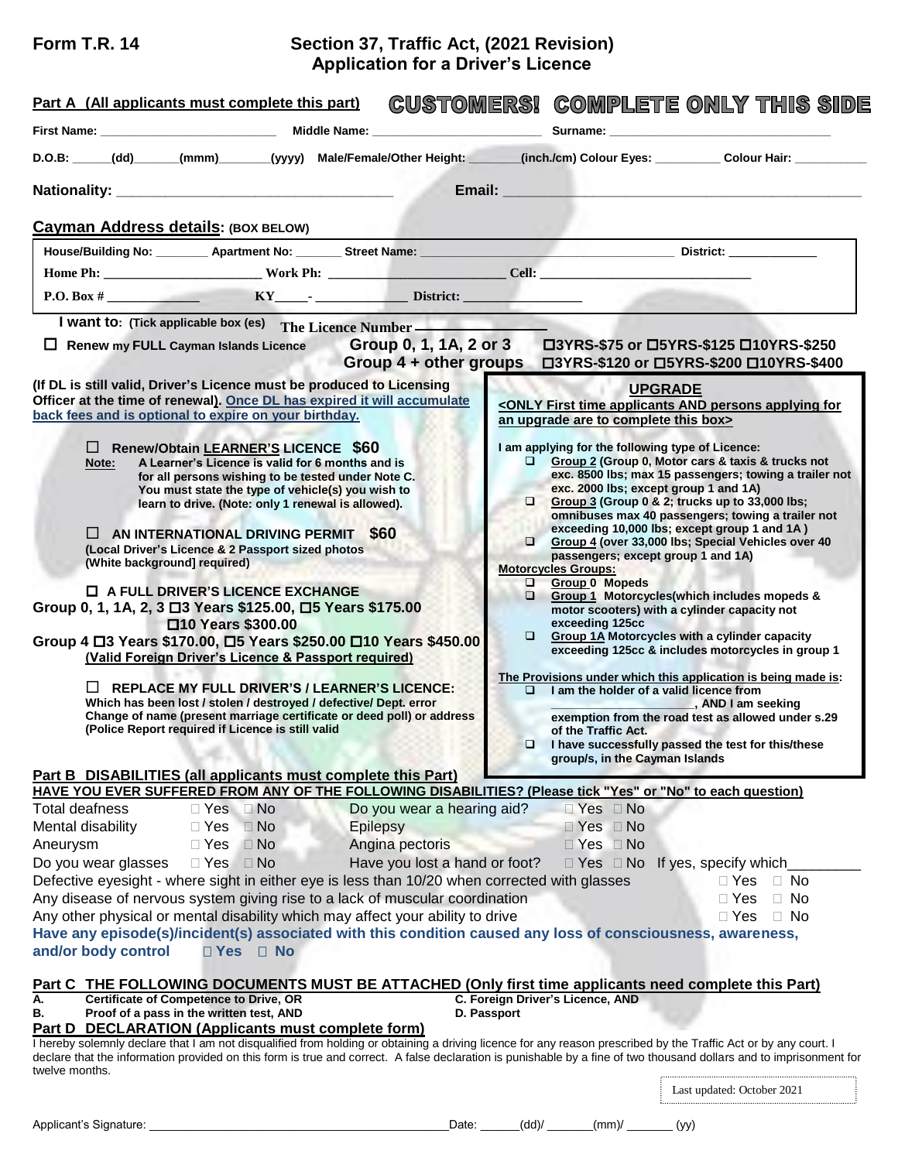## **Form T.R. 14 Section 37, Traffic Act, (2021 Revision) Application for a Driver's Licence**

| Surname: ___________________<br>D.O.B: _____(dd) _____(mmm) ______(yyyy) Male/Female/Other Height: _______(inch./cm) Colour Eyes: _________ Colour Hair: ____<br>Email: 2008 2009 2009 2010 2021 2022 2023 2024 2022 2023 2024 2022 2023 2024 2022 2023 2024 2022 2023 2024 20<br>Cayman Address details: (BOX BELOW)<br>$P.O. Box #$ RY RY Bistrict:<br>I want to: (Tick applicable box (es) The Licence Number<br>□ Renew my FULL Cayman Islands Licence Group 0, 1, 1A, 2 or 3 □3YRS-\$75 or □5YRS-\$125 □10YRS-\$250<br>Group 4 + other groups □3YRS-\$120 or □5YRS-\$200 □10YRS-\$400<br>(If DL is still valid, Driver's Licence must be produced to Licensing<br><b>UPGRADE</b><br>Officer at the time of renewal). Once DL has expired it will accumulate<br><only and="" applicants="" applying="" first="" for<br="" persons="" time="">back fees and is optional to expire on your birthday.<br/>an upgrade are to complete this box&gt;<br/>□ Renew/Obtain LEARNER'S LICENCE \$60<br/>I am applying for the following type of Licence:<br/>Group 2 (Group 0, Motor cars &amp; taxis &amp; trucks not<br/>A Learner's Licence is valid for 6 months and is<br/>Note:<br/>exc. 8500 lbs; max 15 passengers; towing a trailer not<br/>for all persons wishing to be tested under Note C.<br/>exc. 2000 lbs; except group 1 and 1A)<br/>You must state the type of vehicle(s) you wish to<br/>Group 3 (Group 0 &amp; 2; trucks up to 33,000 lbs;<br/>learn to drive. (Note: only 1 renewal is allowed).<br/>omnibuses max 40 passengers; towing a trailer not<br/>exceeding 10,000 lbs; except group 1 and 1A)<br/><math>\Box</math> AN INTERNATIONAL DRIVING PERMIT \$60<br/>Group 4 (over 33,000 lbs; Special Vehicles over 40<br/>(Local Driver's Licence &amp; 2 Passport sized photos<br/>passengers; except group 1 and 1A)<br/>(White background] required)<br/><b>Motorcycles Groups:</b><br/>Group 0 Mopeds<br/><math>\Box</math> A FULL DRIVER'S LICENCE EXCHANGE<br/><math>\Box</math> Group 1 Motorcycles(which includes mopeds &amp;<br/>Group 0, 1, 1A, 2, 3 □ 3 Years \$125.00, □ 5 Years \$175.00<br/>motor scooters) with a cylinder capacity not<br/>exceeding 125cc<br/>□10 Years \$300.00<br/>Group 1A Motorcycles with a cylinder capacity<br/>Group 4 □ 3 Years \$170.00, □ 5 Years \$250.00 □ 10 Years \$450.00<br/>exceeding 125cc &amp; includes motorcycles in group 1<br/>(Valid Foreign Driver's Licence &amp; Passport required)<br/>The Provisions under which this application is being made is:<br/><b>REPLACE MY FULL DRIVER'S / LEARNER'S LICENCE:</b><br/><math>\Box</math><br/><math>\Box</math> I am the holder of a valid licence from<br/>Which has been lost / stolen / destroyed / defective/ Dept. error<br/><b>Example 2.5 AND I am seeking</b><br/>Change of name (present marriage certificate or deed poll) or address<br/>exemption from the road test as allowed under s.29<br/>(Police Report required if Licence is still valid<br/>of the Traffic Act.<br/>I have successfully passed the test for this/these<br/>group/s, in the Cayman Islands<br/><b>Part B DISABILITIES (all applicants must complete this Part)</b><br/>HAVE YOU EVER SUFFERED FROM ANY OF THE FOLLOWING DISABILITIES? (Please tick "Yes" or "No" to each question)<br/>Do you wear a hearing aid?<br/>Total deafness<br/><math>\Box</math> Yes <math>\Box</math> No<br/><math>\Box</math> Yes <math>\Box</math> No<br/>Mental disability<br/><math>\Box</math> Yes<br/><math>\Box</math> No<br/>Epilepsy<br/><math>\Box</math> Yes <math>\Box</math> No<br/>Angina pectoris<br/><math>\Box</math> Yes<br/><math>\Box</math> No<br/><math>\Box</math> Yes <math>\Box</math> No<br/>Aneurysm<br/>Do you wear glasses<br/>Have you lost a hand or foot?<br/><math>\Box</math> Yes <math>\Box</math> No<br/><math>\Box</math> Yes <math>\Box</math> No If yes, specify which<br/>Defective eyesight - where sight in either eye is less than 10/20 when corrected with glasses<br/><math>\Box</math> Yes<br/><math>\Box</math> No<br/>Any disease of nervous system giving rise to a lack of muscular coordination<br/><math>\Box</math> Yes<br/><math>\Box</math> No</only> | CUSTOMERSI COMPLETE ONLY THIS SIDE |
|----------------------------------------------------------------------------------------------------------------------------------------------------------------------------------------------------------------------------------------------------------------------------------------------------------------------------------------------------------------------------------------------------------------------------------------------------------------------------------------------------------------------------------------------------------------------------------------------------------------------------------------------------------------------------------------------------------------------------------------------------------------------------------------------------------------------------------------------------------------------------------------------------------------------------------------------------------------------------------------------------------------------------------------------------------------------------------------------------------------------------------------------------------------------------------------------------------------------------------------------------------------------------------------------------------------------------------------------------------------------------------------------------------------------------------------------------------------------------------------------------------------------------------------------------------------------------------------------------------------------------------------------------------------------------------------------------------------------------------------------------------------------------------------------------------------------------------------------------------------------------------------------------------------------------------------------------------------------------------------------------------------------------------------------------------------------------------------------------------------------------------------------------------------------------------------------------------------------------------------------------------------------------------------------------------------------------------------------------------------------------------------------------------------------------------------------------------------------------------------------------------------------------------------------------------------------------------------------------------------------------------------------------------------------------------------------------------------------------------------------------------------------------------------------------------------------------------------------------------------------------------------------------------------------------------------------------------------------------------------------------------------------------------------------------------------------------------------------------------------------------------------------------------------------------------------------------------------------------------------------------------------------------------------------------------------------------------------------------------------------------------------------------------------------------------------------------------------------------------------------------------------------------------------------------------------------------------------------------------------------------------------------------------------------------------------------------------------------------------------------------------------------------------------------------------------------------------------------------------------------------------------------------------------------------------------------------------------------------------------------------------------------------------------------------------------------------------------------------------------------------------------------------------------------------------------------------------|------------------------------------|
|                                                                                                                                                                                                                                                                                                                                                                                                                                                                                                                                                                                                                                                                                                                                                                                                                                                                                                                                                                                                                                                                                                                                                                                                                                                                                                                                                                                                                                                                                                                                                                                                                                                                                                                                                                                                                                                                                                                                                                                                                                                                                                                                                                                                                                                                                                                                                                                                                                                                                                                                                                                                                                                                                                                                                                                                                                                                                                                                                                                                                                                                                                                                                                                                                                                                                                                                                                                                                                                                                                                                                                                                                                                                                                                                                                                                                                                                                                                                                                                                                                                                                                                                                                                                          |                                    |
|                                                                                                                                                                                                                                                                                                                                                                                                                                                                                                                                                                                                                                                                                                                                                                                                                                                                                                                                                                                                                                                                                                                                                                                                                                                                                                                                                                                                                                                                                                                                                                                                                                                                                                                                                                                                                                                                                                                                                                                                                                                                                                                                                                                                                                                                                                                                                                                                                                                                                                                                                                                                                                                                                                                                                                                                                                                                                                                                                                                                                                                                                                                                                                                                                                                                                                                                                                                                                                                                                                                                                                                                                                                                                                                                                                                                                                                                                                                                                                                                                                                                                                                                                                                                          |                                    |
|                                                                                                                                                                                                                                                                                                                                                                                                                                                                                                                                                                                                                                                                                                                                                                                                                                                                                                                                                                                                                                                                                                                                                                                                                                                                                                                                                                                                                                                                                                                                                                                                                                                                                                                                                                                                                                                                                                                                                                                                                                                                                                                                                                                                                                                                                                                                                                                                                                                                                                                                                                                                                                                                                                                                                                                                                                                                                                                                                                                                                                                                                                                                                                                                                                                                                                                                                                                                                                                                                                                                                                                                                                                                                                                                                                                                                                                                                                                                                                                                                                                                                                                                                                                                          |                                    |
|                                                                                                                                                                                                                                                                                                                                                                                                                                                                                                                                                                                                                                                                                                                                                                                                                                                                                                                                                                                                                                                                                                                                                                                                                                                                                                                                                                                                                                                                                                                                                                                                                                                                                                                                                                                                                                                                                                                                                                                                                                                                                                                                                                                                                                                                                                                                                                                                                                                                                                                                                                                                                                                                                                                                                                                                                                                                                                                                                                                                                                                                                                                                                                                                                                                                                                                                                                                                                                                                                                                                                                                                                                                                                                                                                                                                                                                                                                                                                                                                                                                                                                                                                                                                          |                                    |
|                                                                                                                                                                                                                                                                                                                                                                                                                                                                                                                                                                                                                                                                                                                                                                                                                                                                                                                                                                                                                                                                                                                                                                                                                                                                                                                                                                                                                                                                                                                                                                                                                                                                                                                                                                                                                                                                                                                                                                                                                                                                                                                                                                                                                                                                                                                                                                                                                                                                                                                                                                                                                                                                                                                                                                                                                                                                                                                                                                                                                                                                                                                                                                                                                                                                                                                                                                                                                                                                                                                                                                                                                                                                                                                                                                                                                                                                                                                                                                                                                                                                                                                                                                                                          |                                    |
|                                                                                                                                                                                                                                                                                                                                                                                                                                                                                                                                                                                                                                                                                                                                                                                                                                                                                                                                                                                                                                                                                                                                                                                                                                                                                                                                                                                                                                                                                                                                                                                                                                                                                                                                                                                                                                                                                                                                                                                                                                                                                                                                                                                                                                                                                                                                                                                                                                                                                                                                                                                                                                                                                                                                                                                                                                                                                                                                                                                                                                                                                                                                                                                                                                                                                                                                                                                                                                                                                                                                                                                                                                                                                                                                                                                                                                                                                                                                                                                                                                                                                                                                                                                                          |                                    |
|                                                                                                                                                                                                                                                                                                                                                                                                                                                                                                                                                                                                                                                                                                                                                                                                                                                                                                                                                                                                                                                                                                                                                                                                                                                                                                                                                                                                                                                                                                                                                                                                                                                                                                                                                                                                                                                                                                                                                                                                                                                                                                                                                                                                                                                                                                                                                                                                                                                                                                                                                                                                                                                                                                                                                                                                                                                                                                                                                                                                                                                                                                                                                                                                                                                                                                                                                                                                                                                                                                                                                                                                                                                                                                                                                                                                                                                                                                                                                                                                                                                                                                                                                                                                          |                                    |
|                                                                                                                                                                                                                                                                                                                                                                                                                                                                                                                                                                                                                                                                                                                                                                                                                                                                                                                                                                                                                                                                                                                                                                                                                                                                                                                                                                                                                                                                                                                                                                                                                                                                                                                                                                                                                                                                                                                                                                                                                                                                                                                                                                                                                                                                                                                                                                                                                                                                                                                                                                                                                                                                                                                                                                                                                                                                                                                                                                                                                                                                                                                                                                                                                                                                                                                                                                                                                                                                                                                                                                                                                                                                                                                                                                                                                                                                                                                                                                                                                                                                                                                                                                                                          |                                    |
|                                                                                                                                                                                                                                                                                                                                                                                                                                                                                                                                                                                                                                                                                                                                                                                                                                                                                                                                                                                                                                                                                                                                                                                                                                                                                                                                                                                                                                                                                                                                                                                                                                                                                                                                                                                                                                                                                                                                                                                                                                                                                                                                                                                                                                                                                                                                                                                                                                                                                                                                                                                                                                                                                                                                                                                                                                                                                                                                                                                                                                                                                                                                                                                                                                                                                                                                                                                                                                                                                                                                                                                                                                                                                                                                                                                                                                                                                                                                                                                                                                                                                                                                                                                                          |                                    |
|                                                                                                                                                                                                                                                                                                                                                                                                                                                                                                                                                                                                                                                                                                                                                                                                                                                                                                                                                                                                                                                                                                                                                                                                                                                                                                                                                                                                                                                                                                                                                                                                                                                                                                                                                                                                                                                                                                                                                                                                                                                                                                                                                                                                                                                                                                                                                                                                                                                                                                                                                                                                                                                                                                                                                                                                                                                                                                                                                                                                                                                                                                                                                                                                                                                                                                                                                                                                                                                                                                                                                                                                                                                                                                                                                                                                                                                                                                                                                                                                                                                                                                                                                                                                          |                                    |
|                                                                                                                                                                                                                                                                                                                                                                                                                                                                                                                                                                                                                                                                                                                                                                                                                                                                                                                                                                                                                                                                                                                                                                                                                                                                                                                                                                                                                                                                                                                                                                                                                                                                                                                                                                                                                                                                                                                                                                                                                                                                                                                                                                                                                                                                                                                                                                                                                                                                                                                                                                                                                                                                                                                                                                                                                                                                                                                                                                                                                                                                                                                                                                                                                                                                                                                                                                                                                                                                                                                                                                                                                                                                                                                                                                                                                                                                                                                                                                                                                                                                                                                                                                                                          |                                    |
|                                                                                                                                                                                                                                                                                                                                                                                                                                                                                                                                                                                                                                                                                                                                                                                                                                                                                                                                                                                                                                                                                                                                                                                                                                                                                                                                                                                                                                                                                                                                                                                                                                                                                                                                                                                                                                                                                                                                                                                                                                                                                                                                                                                                                                                                                                                                                                                                                                                                                                                                                                                                                                                                                                                                                                                                                                                                                                                                                                                                                                                                                                                                                                                                                                                                                                                                                                                                                                                                                                                                                                                                                                                                                                                                                                                                                                                                                                                                                                                                                                                                                                                                                                                                          |                                    |
|                                                                                                                                                                                                                                                                                                                                                                                                                                                                                                                                                                                                                                                                                                                                                                                                                                                                                                                                                                                                                                                                                                                                                                                                                                                                                                                                                                                                                                                                                                                                                                                                                                                                                                                                                                                                                                                                                                                                                                                                                                                                                                                                                                                                                                                                                                                                                                                                                                                                                                                                                                                                                                                                                                                                                                                                                                                                                                                                                                                                                                                                                                                                                                                                                                                                                                                                                                                                                                                                                                                                                                                                                                                                                                                                                                                                                                                                                                                                                                                                                                                                                                                                                                                                          |                                    |
|                                                                                                                                                                                                                                                                                                                                                                                                                                                                                                                                                                                                                                                                                                                                                                                                                                                                                                                                                                                                                                                                                                                                                                                                                                                                                                                                                                                                                                                                                                                                                                                                                                                                                                                                                                                                                                                                                                                                                                                                                                                                                                                                                                                                                                                                                                                                                                                                                                                                                                                                                                                                                                                                                                                                                                                                                                                                                                                                                                                                                                                                                                                                                                                                                                                                                                                                                                                                                                                                                                                                                                                                                                                                                                                                                                                                                                                                                                                                                                                                                                                                                                                                                                                                          |                                    |
|                                                                                                                                                                                                                                                                                                                                                                                                                                                                                                                                                                                                                                                                                                                                                                                                                                                                                                                                                                                                                                                                                                                                                                                                                                                                                                                                                                                                                                                                                                                                                                                                                                                                                                                                                                                                                                                                                                                                                                                                                                                                                                                                                                                                                                                                                                                                                                                                                                                                                                                                                                                                                                                                                                                                                                                                                                                                                                                                                                                                                                                                                                                                                                                                                                                                                                                                                                                                                                                                                                                                                                                                                                                                                                                                                                                                                                                                                                                                                                                                                                                                                                                                                                                                          |                                    |
|                                                                                                                                                                                                                                                                                                                                                                                                                                                                                                                                                                                                                                                                                                                                                                                                                                                                                                                                                                                                                                                                                                                                                                                                                                                                                                                                                                                                                                                                                                                                                                                                                                                                                                                                                                                                                                                                                                                                                                                                                                                                                                                                                                                                                                                                                                                                                                                                                                                                                                                                                                                                                                                                                                                                                                                                                                                                                                                                                                                                                                                                                                                                                                                                                                                                                                                                                                                                                                                                                                                                                                                                                                                                                                                                                                                                                                                                                                                                                                                                                                                                                                                                                                                                          |                                    |
|                                                                                                                                                                                                                                                                                                                                                                                                                                                                                                                                                                                                                                                                                                                                                                                                                                                                                                                                                                                                                                                                                                                                                                                                                                                                                                                                                                                                                                                                                                                                                                                                                                                                                                                                                                                                                                                                                                                                                                                                                                                                                                                                                                                                                                                                                                                                                                                                                                                                                                                                                                                                                                                                                                                                                                                                                                                                                                                                                                                                                                                                                                                                                                                                                                                                                                                                                                                                                                                                                                                                                                                                                                                                                                                                                                                                                                                                                                                                                                                                                                                                                                                                                                                                          |                                    |
|                                                                                                                                                                                                                                                                                                                                                                                                                                                                                                                                                                                                                                                                                                                                                                                                                                                                                                                                                                                                                                                                                                                                                                                                                                                                                                                                                                                                                                                                                                                                                                                                                                                                                                                                                                                                                                                                                                                                                                                                                                                                                                                                                                                                                                                                                                                                                                                                                                                                                                                                                                                                                                                                                                                                                                                                                                                                                                                                                                                                                                                                                                                                                                                                                                                                                                                                                                                                                                                                                                                                                                                                                                                                                                                                                                                                                                                                                                                                                                                                                                                                                                                                                                                                          |                                    |
|                                                                                                                                                                                                                                                                                                                                                                                                                                                                                                                                                                                                                                                                                                                                                                                                                                                                                                                                                                                                                                                                                                                                                                                                                                                                                                                                                                                                                                                                                                                                                                                                                                                                                                                                                                                                                                                                                                                                                                                                                                                                                                                                                                                                                                                                                                                                                                                                                                                                                                                                                                                                                                                                                                                                                                                                                                                                                                                                                                                                                                                                                                                                                                                                                                                                                                                                                                                                                                                                                                                                                                                                                                                                                                                                                                                                                                                                                                                                                                                                                                                                                                                                                                                                          |                                    |
|                                                                                                                                                                                                                                                                                                                                                                                                                                                                                                                                                                                                                                                                                                                                                                                                                                                                                                                                                                                                                                                                                                                                                                                                                                                                                                                                                                                                                                                                                                                                                                                                                                                                                                                                                                                                                                                                                                                                                                                                                                                                                                                                                                                                                                                                                                                                                                                                                                                                                                                                                                                                                                                                                                                                                                                                                                                                                                                                                                                                                                                                                                                                                                                                                                                                                                                                                                                                                                                                                                                                                                                                                                                                                                                                                                                                                                                                                                                                                                                                                                                                                                                                                                                                          |                                    |
|                                                                                                                                                                                                                                                                                                                                                                                                                                                                                                                                                                                                                                                                                                                                                                                                                                                                                                                                                                                                                                                                                                                                                                                                                                                                                                                                                                                                                                                                                                                                                                                                                                                                                                                                                                                                                                                                                                                                                                                                                                                                                                                                                                                                                                                                                                                                                                                                                                                                                                                                                                                                                                                                                                                                                                                                                                                                                                                                                                                                                                                                                                                                                                                                                                                                                                                                                                                                                                                                                                                                                                                                                                                                                                                                                                                                                                                                                                                                                                                                                                                                                                                                                                                                          |                                    |
|                                                                                                                                                                                                                                                                                                                                                                                                                                                                                                                                                                                                                                                                                                                                                                                                                                                                                                                                                                                                                                                                                                                                                                                                                                                                                                                                                                                                                                                                                                                                                                                                                                                                                                                                                                                                                                                                                                                                                                                                                                                                                                                                                                                                                                                                                                                                                                                                                                                                                                                                                                                                                                                                                                                                                                                                                                                                                                                                                                                                                                                                                                                                                                                                                                                                                                                                                                                                                                                                                                                                                                                                                                                                                                                                                                                                                                                                                                                                                                                                                                                                                                                                                                                                          |                                    |
|                                                                                                                                                                                                                                                                                                                                                                                                                                                                                                                                                                                                                                                                                                                                                                                                                                                                                                                                                                                                                                                                                                                                                                                                                                                                                                                                                                                                                                                                                                                                                                                                                                                                                                                                                                                                                                                                                                                                                                                                                                                                                                                                                                                                                                                                                                                                                                                                                                                                                                                                                                                                                                                                                                                                                                                                                                                                                                                                                                                                                                                                                                                                                                                                                                                                                                                                                                                                                                                                                                                                                                                                                                                                                                                                                                                                                                                                                                                                                                                                                                                                                                                                                                                                          |                                    |
|                                                                                                                                                                                                                                                                                                                                                                                                                                                                                                                                                                                                                                                                                                                                                                                                                                                                                                                                                                                                                                                                                                                                                                                                                                                                                                                                                                                                                                                                                                                                                                                                                                                                                                                                                                                                                                                                                                                                                                                                                                                                                                                                                                                                                                                                                                                                                                                                                                                                                                                                                                                                                                                                                                                                                                                                                                                                                                                                                                                                                                                                                                                                                                                                                                                                                                                                                                                                                                                                                                                                                                                                                                                                                                                                                                                                                                                                                                                                                                                                                                                                                                                                                                                                          |                                    |
|                                                                                                                                                                                                                                                                                                                                                                                                                                                                                                                                                                                                                                                                                                                                                                                                                                                                                                                                                                                                                                                                                                                                                                                                                                                                                                                                                                                                                                                                                                                                                                                                                                                                                                                                                                                                                                                                                                                                                                                                                                                                                                                                                                                                                                                                                                                                                                                                                                                                                                                                                                                                                                                                                                                                                                                                                                                                                                                                                                                                                                                                                                                                                                                                                                                                                                                                                                                                                                                                                                                                                                                                                                                                                                                                                                                                                                                                                                                                                                                                                                                                                                                                                                                                          |                                    |
|                                                                                                                                                                                                                                                                                                                                                                                                                                                                                                                                                                                                                                                                                                                                                                                                                                                                                                                                                                                                                                                                                                                                                                                                                                                                                                                                                                                                                                                                                                                                                                                                                                                                                                                                                                                                                                                                                                                                                                                                                                                                                                                                                                                                                                                                                                                                                                                                                                                                                                                                                                                                                                                                                                                                                                                                                                                                                                                                                                                                                                                                                                                                                                                                                                                                                                                                                                                                                                                                                                                                                                                                                                                                                                                                                                                                                                                                                                                                                                                                                                                                                                                                                                                                          |                                    |
|                                                                                                                                                                                                                                                                                                                                                                                                                                                                                                                                                                                                                                                                                                                                                                                                                                                                                                                                                                                                                                                                                                                                                                                                                                                                                                                                                                                                                                                                                                                                                                                                                                                                                                                                                                                                                                                                                                                                                                                                                                                                                                                                                                                                                                                                                                                                                                                                                                                                                                                                                                                                                                                                                                                                                                                                                                                                                                                                                                                                                                                                                                                                                                                                                                                                                                                                                                                                                                                                                                                                                                                                                                                                                                                                                                                                                                                                                                                                                                                                                                                                                                                                                                                                          |                                    |
|                                                                                                                                                                                                                                                                                                                                                                                                                                                                                                                                                                                                                                                                                                                                                                                                                                                                                                                                                                                                                                                                                                                                                                                                                                                                                                                                                                                                                                                                                                                                                                                                                                                                                                                                                                                                                                                                                                                                                                                                                                                                                                                                                                                                                                                                                                                                                                                                                                                                                                                                                                                                                                                                                                                                                                                                                                                                                                                                                                                                                                                                                                                                                                                                                                                                                                                                                                                                                                                                                                                                                                                                                                                                                                                                                                                                                                                                                                                                                                                                                                                                                                                                                                                                          |                                    |
|                                                                                                                                                                                                                                                                                                                                                                                                                                                                                                                                                                                                                                                                                                                                                                                                                                                                                                                                                                                                                                                                                                                                                                                                                                                                                                                                                                                                                                                                                                                                                                                                                                                                                                                                                                                                                                                                                                                                                                                                                                                                                                                                                                                                                                                                                                                                                                                                                                                                                                                                                                                                                                                                                                                                                                                                                                                                                                                                                                                                                                                                                                                                                                                                                                                                                                                                                                                                                                                                                                                                                                                                                                                                                                                                                                                                                                                                                                                                                                                                                                                                                                                                                                                                          |                                    |
|                                                                                                                                                                                                                                                                                                                                                                                                                                                                                                                                                                                                                                                                                                                                                                                                                                                                                                                                                                                                                                                                                                                                                                                                                                                                                                                                                                                                                                                                                                                                                                                                                                                                                                                                                                                                                                                                                                                                                                                                                                                                                                                                                                                                                                                                                                                                                                                                                                                                                                                                                                                                                                                                                                                                                                                                                                                                                                                                                                                                                                                                                                                                                                                                                                                                                                                                                                                                                                                                                                                                                                                                                                                                                                                                                                                                                                                                                                                                                                                                                                                                                                                                                                                                          |                                    |
|                                                                                                                                                                                                                                                                                                                                                                                                                                                                                                                                                                                                                                                                                                                                                                                                                                                                                                                                                                                                                                                                                                                                                                                                                                                                                                                                                                                                                                                                                                                                                                                                                                                                                                                                                                                                                                                                                                                                                                                                                                                                                                                                                                                                                                                                                                                                                                                                                                                                                                                                                                                                                                                                                                                                                                                                                                                                                                                                                                                                                                                                                                                                                                                                                                                                                                                                                                                                                                                                                                                                                                                                                                                                                                                                                                                                                                                                                                                                                                                                                                                                                                                                                                                                          |                                    |
|                                                                                                                                                                                                                                                                                                                                                                                                                                                                                                                                                                                                                                                                                                                                                                                                                                                                                                                                                                                                                                                                                                                                                                                                                                                                                                                                                                                                                                                                                                                                                                                                                                                                                                                                                                                                                                                                                                                                                                                                                                                                                                                                                                                                                                                                                                                                                                                                                                                                                                                                                                                                                                                                                                                                                                                                                                                                                                                                                                                                                                                                                                                                                                                                                                                                                                                                                                                                                                                                                                                                                                                                                                                                                                                                                                                                                                                                                                                                                                                                                                                                                                                                                                                                          |                                    |
|                                                                                                                                                                                                                                                                                                                                                                                                                                                                                                                                                                                                                                                                                                                                                                                                                                                                                                                                                                                                                                                                                                                                                                                                                                                                                                                                                                                                                                                                                                                                                                                                                                                                                                                                                                                                                                                                                                                                                                                                                                                                                                                                                                                                                                                                                                                                                                                                                                                                                                                                                                                                                                                                                                                                                                                                                                                                                                                                                                                                                                                                                                                                                                                                                                                                                                                                                                                                                                                                                                                                                                                                                                                                                                                                                                                                                                                                                                                                                                                                                                                                                                                                                                                                          |                                    |
|                                                                                                                                                                                                                                                                                                                                                                                                                                                                                                                                                                                                                                                                                                                                                                                                                                                                                                                                                                                                                                                                                                                                                                                                                                                                                                                                                                                                                                                                                                                                                                                                                                                                                                                                                                                                                                                                                                                                                                                                                                                                                                                                                                                                                                                                                                                                                                                                                                                                                                                                                                                                                                                                                                                                                                                                                                                                                                                                                                                                                                                                                                                                                                                                                                                                                                                                                                                                                                                                                                                                                                                                                                                                                                                                                                                                                                                                                                                                                                                                                                                                                                                                                                                                          |                                    |
|                                                                                                                                                                                                                                                                                                                                                                                                                                                                                                                                                                                                                                                                                                                                                                                                                                                                                                                                                                                                                                                                                                                                                                                                                                                                                                                                                                                                                                                                                                                                                                                                                                                                                                                                                                                                                                                                                                                                                                                                                                                                                                                                                                                                                                                                                                                                                                                                                                                                                                                                                                                                                                                                                                                                                                                                                                                                                                                                                                                                                                                                                                                                                                                                                                                                                                                                                                                                                                                                                                                                                                                                                                                                                                                                                                                                                                                                                                                                                                                                                                                                                                                                                                                                          |                                    |
|                                                                                                                                                                                                                                                                                                                                                                                                                                                                                                                                                                                                                                                                                                                                                                                                                                                                                                                                                                                                                                                                                                                                                                                                                                                                                                                                                                                                                                                                                                                                                                                                                                                                                                                                                                                                                                                                                                                                                                                                                                                                                                                                                                                                                                                                                                                                                                                                                                                                                                                                                                                                                                                                                                                                                                                                                                                                                                                                                                                                                                                                                                                                                                                                                                                                                                                                                                                                                                                                                                                                                                                                                                                                                                                                                                                                                                                                                                                                                                                                                                                                                                                                                                                                          |                                    |
|                                                                                                                                                                                                                                                                                                                                                                                                                                                                                                                                                                                                                                                                                                                                                                                                                                                                                                                                                                                                                                                                                                                                                                                                                                                                                                                                                                                                                                                                                                                                                                                                                                                                                                                                                                                                                                                                                                                                                                                                                                                                                                                                                                                                                                                                                                                                                                                                                                                                                                                                                                                                                                                                                                                                                                                                                                                                                                                                                                                                                                                                                                                                                                                                                                                                                                                                                                                                                                                                                                                                                                                                                                                                                                                                                                                                                                                                                                                                                                                                                                                                                                                                                                                                          |                                    |
| Any other physical or mental disability which may affect your ability to drive<br>$\Box$ Yes<br>$\Box$ No                                                                                                                                                                                                                                                                                                                                                                                                                                                                                                                                                                                                                                                                                                                                                                                                                                                                                                                                                                                                                                                                                                                                                                                                                                                                                                                                                                                                                                                                                                                                                                                                                                                                                                                                                                                                                                                                                                                                                                                                                                                                                                                                                                                                                                                                                                                                                                                                                                                                                                                                                                                                                                                                                                                                                                                                                                                                                                                                                                                                                                                                                                                                                                                                                                                                                                                                                                                                                                                                                                                                                                                                                                                                                                                                                                                                                                                                                                                                                                                                                                                                                                |                                    |
| Have any episode(s)/incident(s) associated with this condition caused any loss of consciousness, awareness,                                                                                                                                                                                                                                                                                                                                                                                                                                                                                                                                                                                                                                                                                                                                                                                                                                                                                                                                                                                                                                                                                                                                                                                                                                                                                                                                                                                                                                                                                                                                                                                                                                                                                                                                                                                                                                                                                                                                                                                                                                                                                                                                                                                                                                                                                                                                                                                                                                                                                                                                                                                                                                                                                                                                                                                                                                                                                                                                                                                                                                                                                                                                                                                                                                                                                                                                                                                                                                                                                                                                                                                                                                                                                                                                                                                                                                                                                                                                                                                                                                                                                              |                                    |
| and/or body control<br>$\Box$ Yes $\Box$ No                                                                                                                                                                                                                                                                                                                                                                                                                                                                                                                                                                                                                                                                                                                                                                                                                                                                                                                                                                                                                                                                                                                                                                                                                                                                                                                                                                                                                                                                                                                                                                                                                                                                                                                                                                                                                                                                                                                                                                                                                                                                                                                                                                                                                                                                                                                                                                                                                                                                                                                                                                                                                                                                                                                                                                                                                                                                                                                                                                                                                                                                                                                                                                                                                                                                                                                                                                                                                                                                                                                                                                                                                                                                                                                                                                                                                                                                                                                                                                                                                                                                                                                                                              |                                    |
|                                                                                                                                                                                                                                                                                                                                                                                                                                                                                                                                                                                                                                                                                                                                                                                                                                                                                                                                                                                                                                                                                                                                                                                                                                                                                                                                                                                                                                                                                                                                                                                                                                                                                                                                                                                                                                                                                                                                                                                                                                                                                                                                                                                                                                                                                                                                                                                                                                                                                                                                                                                                                                                                                                                                                                                                                                                                                                                                                                                                                                                                                                                                                                                                                                                                                                                                                                                                                                                                                                                                                                                                                                                                                                                                                                                                                                                                                                                                                                                                                                                                                                                                                                                                          |                                    |
| Part C THE FOLLOWING DOCUMENTS MUST BE ATTACHED (Only first time applicants need complete this Part)                                                                                                                                                                                                                                                                                                                                                                                                                                                                                                                                                                                                                                                                                                                                                                                                                                                                                                                                                                                                                                                                                                                                                                                                                                                                                                                                                                                                                                                                                                                                                                                                                                                                                                                                                                                                                                                                                                                                                                                                                                                                                                                                                                                                                                                                                                                                                                                                                                                                                                                                                                                                                                                                                                                                                                                                                                                                                                                                                                                                                                                                                                                                                                                                                                                                                                                                                                                                                                                                                                                                                                                                                                                                                                                                                                                                                                                                                                                                                                                                                                                                                                     |                                    |
| <b>Certificate of Competence to Drive, OR</b><br>C. Foreign Driver's Licence, AND<br>А.                                                                                                                                                                                                                                                                                                                                                                                                                                                                                                                                                                                                                                                                                                                                                                                                                                                                                                                                                                                                                                                                                                                                                                                                                                                                                                                                                                                                                                                                                                                                                                                                                                                                                                                                                                                                                                                                                                                                                                                                                                                                                                                                                                                                                                                                                                                                                                                                                                                                                                                                                                                                                                                                                                                                                                                                                                                                                                                                                                                                                                                                                                                                                                                                                                                                                                                                                                                                                                                                                                                                                                                                                                                                                                                                                                                                                                                                                                                                                                                                                                                                                                                  |                                    |
| Proof of a pass in the written test, AND<br>В.<br>D. Passport<br>Part D DECLARATION (Applicants must complete form)                                                                                                                                                                                                                                                                                                                                                                                                                                                                                                                                                                                                                                                                                                                                                                                                                                                                                                                                                                                                                                                                                                                                                                                                                                                                                                                                                                                                                                                                                                                                                                                                                                                                                                                                                                                                                                                                                                                                                                                                                                                                                                                                                                                                                                                                                                                                                                                                                                                                                                                                                                                                                                                                                                                                                                                                                                                                                                                                                                                                                                                                                                                                                                                                                                                                                                                                                                                                                                                                                                                                                                                                                                                                                                                                                                                                                                                                                                                                                                                                                                                                                      |                                    |
| I hereby solemnly declare that I am not disqualified from holding or obtaining a driving licence for any reason prescribed by the Traffic Act or by any court. I                                                                                                                                                                                                                                                                                                                                                                                                                                                                                                                                                                                                                                                                                                                                                                                                                                                                                                                                                                                                                                                                                                                                                                                                                                                                                                                                                                                                                                                                                                                                                                                                                                                                                                                                                                                                                                                                                                                                                                                                                                                                                                                                                                                                                                                                                                                                                                                                                                                                                                                                                                                                                                                                                                                                                                                                                                                                                                                                                                                                                                                                                                                                                                                                                                                                                                                                                                                                                                                                                                                                                                                                                                                                                                                                                                                                                                                                                                                                                                                                                                         |                                    |
| declare that the information provided on this form is true and correct. A false declaration is punishable by a fine of two thousand dollars and to imprisonment for                                                                                                                                                                                                                                                                                                                                                                                                                                                                                                                                                                                                                                                                                                                                                                                                                                                                                                                                                                                                                                                                                                                                                                                                                                                                                                                                                                                                                                                                                                                                                                                                                                                                                                                                                                                                                                                                                                                                                                                                                                                                                                                                                                                                                                                                                                                                                                                                                                                                                                                                                                                                                                                                                                                                                                                                                                                                                                                                                                                                                                                                                                                                                                                                                                                                                                                                                                                                                                                                                                                                                                                                                                                                                                                                                                                                                                                                                                                                                                                                                                      |                                    |
| twelve months.                                                                                                                                                                                                                                                                                                                                                                                                                                                                                                                                                                                                                                                                                                                                                                                                                                                                                                                                                                                                                                                                                                                                                                                                                                                                                                                                                                                                                                                                                                                                                                                                                                                                                                                                                                                                                                                                                                                                                                                                                                                                                                                                                                                                                                                                                                                                                                                                                                                                                                                                                                                                                                                                                                                                                                                                                                                                                                                                                                                                                                                                                                                                                                                                                                                                                                                                                                                                                                                                                                                                                                                                                                                                                                                                                                                                                                                                                                                                                                                                                                                                                                                                                                                           |                                    |
| Last updated: October 2021                                                                                                                                                                                                                                                                                                                                                                                                                                                                                                                                                                                                                                                                                                                                                                                                                                                                                                                                                                                                                                                                                                                                                                                                                                                                                                                                                                                                                                                                                                                                                                                                                                                                                                                                                                                                                                                                                                                                                                                                                                                                                                                                                                                                                                                                                                                                                                                                                                                                                                                                                                                                                                                                                                                                                                                                                                                                                                                                                                                                                                                                                                                                                                                                                                                                                                                                                                                                                                                                                                                                                                                                                                                                                                                                                                                                                                                                                                                                                                                                                                                                                                                                                                               |                                    |
| Applicant's Signature:<br>Date:<br>(dd)'<br>(mm)<br>(yy)                                                                                                                                                                                                                                                                                                                                                                                                                                                                                                                                                                                                                                                                                                                                                                                                                                                                                                                                                                                                                                                                                                                                                                                                                                                                                                                                                                                                                                                                                                                                                                                                                                                                                                                                                                                                                                                                                                                                                                                                                                                                                                                                                                                                                                                                                                                                                                                                                                                                                                                                                                                                                                                                                                                                                                                                                                                                                                                                                                                                                                                                                                                                                                                                                                                                                                                                                                                                                                                                                                                                                                                                                                                                                                                                                                                                                                                                                                                                                                                                                                                                                                                                                 |                                    |